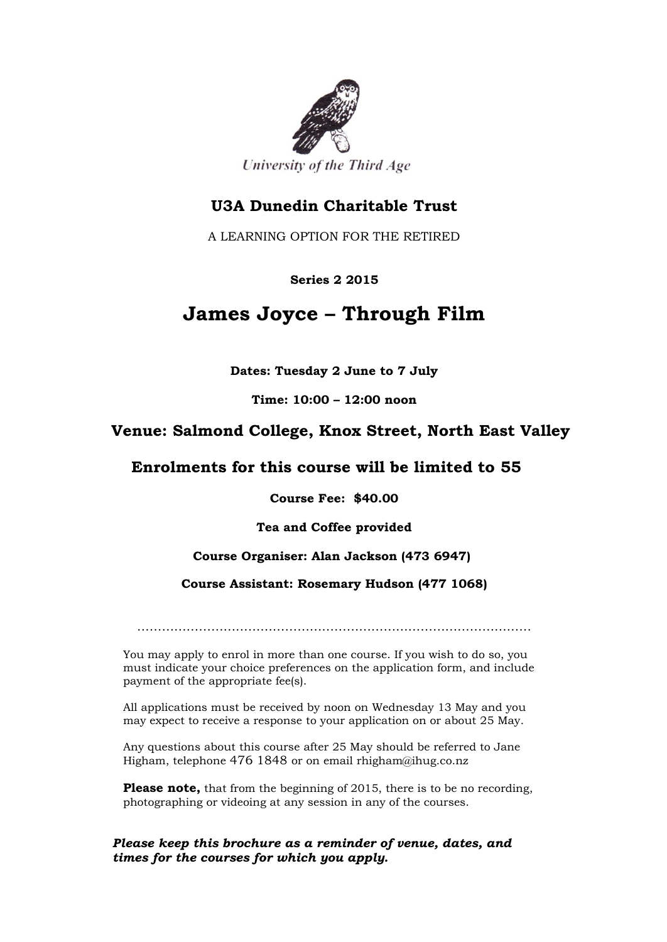

## **U3A Dunedin Charitable Trust**

A LEARNING OPTION FOR THE RETIRED

#### **Series 2 2015**

# **James Joyce – Through Film**

**Dates: Tuesday 2 June to 7 July**

**Time: 10:00 – 12:00 noon**

## **Venue: Salmond College, Knox Street, North East Valley**

### **Enrolments for this course will be limited to 55**

**Course Fee: \$40.00**

**Tea and Coffee provided**

### **Course Organiser: Alan Jackson (473 6947)**

#### **Course Assistant: Rosemary Hudson (477 1068)**

……………………………………………………………………………………

You may apply to enrol in more than one course. If you wish to do so, you must indicate your choice preferences on the application form, and include payment of the appropriate fee(s).

All applications must be received by noon on Wednesday 13 May and you may expect to receive a response to your application on or about 25 May.

Any questions about this course after 25 May should be referred to Jane Higham, telephone 476 1848 or on email rhigham@ihug.co.nz

**Please note,** that from the beginning of 2015, there is to be no recording, photographing or videoing at any session in any of the courses.

#### *Please keep this brochure as a reminder of venue, dates, and times for the courses for which you apply.*